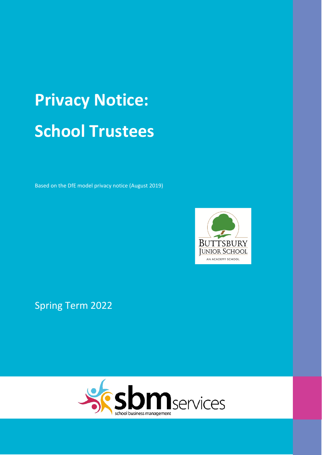# **Privacy Notice: School Trustees**

Based on the DfE model privacy notice (August 2019)



Spring Term 2022

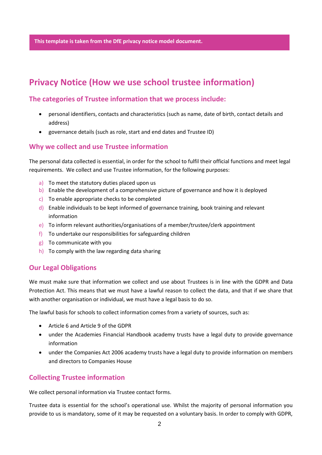**This template is taken from the DfE privacy notice model document.**

## **Privacy Notice (How we use school trustee information)**

## **The categories of Trustee information that we process include:**

- personal identifiers, contacts and characteristics (such as name, date of birth, contact details and address)
- governance details (such as role, start and end dates and Trustee ID)

## **Why we collect and use Trustee information**

The personal data collected is essential, in order for the school to fulfil their official functions and meet legal requirements. We collect and use Trustee information, for the following purposes:

- a) To meet the statutory duties placed upon us
- b) Enable the development of a comprehensive picture of governance and how it is deployed
- c) To enable appropriate checks to be completed
- d) Enable individuals to be kept informed of governance training, book training and relevant information
- e) To inform relevant authorities/organisations of a member/trustee/clerk appointment
- f) To undertake our responsibilities for safeguarding children
- g) To communicate with you
- h) To comply with the law regarding data sharing

## **Our Legal Obligations**

We must make sure that information we collect and use about Trustees is in line with the GDPR and Data Protection Act. This means that we must have a lawful reason to collect the data, and that if we share that with another organisation or individual, we must have a legal basis to do so.

The lawful basis for schools to collect information comes from a variety of sources, such as:

- Article 6 and Article 9 of the GDPR
- under the Academies Financial Handbook academy trusts have a legal duty to provide governance information
- under the Companies Act 2006 academy trusts have a legal duty to provide information on members and directors to Companies House

## **Collecting Trustee information**

We collect personal information via Trustee contact forms.

Trustee data is essential for the school's operational use. Whilst the majority of personal information you provide to us is mandatory, some of it may be requested on a voluntary basis. In order to comply with GDPR,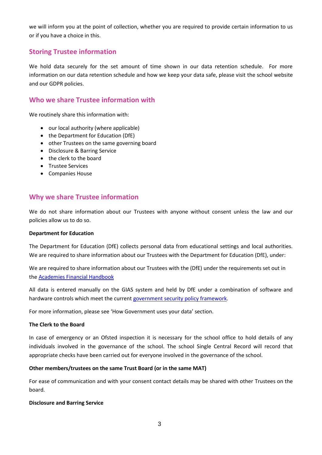we will inform you at the point of collection, whether you are required to provide certain information to us or if you have a choice in this.

## **Storing Trustee information**

We hold data securely for the set amount of time shown in our data retention schedule. For more information on our data retention schedule and how we keep your data safe, please visit the school website and our GDPR policies.

## **Who we share Trustee information with**

We routinely share this information with:

- our local authority (where applicable)
- the Department for Education (DfE)
- other Trustees on the same governing board
- Disclosure & Barring Service
- the clerk to the board
- Trustee Services
- Companies House

## **Why we share Trustee information**

We do not share information about our Trustees with anyone without consent unless the law and our policies allow us to do so.

#### **Department for Education**

The Department for Education (DfE) collects personal data from educational settings and local authorities. We are required to share information about our Trustees with the Department for Education (DfE), under:

We are required to share information about our Trustees with the (DfE) under the requirements set out in the [Academies Financial Handbook](https://www.gov.uk/government/publications/academies-financial-handbook) 

All data is entered manually on the GIAS system and held by DfE under a combination of software and hardware controls which meet the current [government security policy framework.](https://www.gov.uk/government/publications/security-policy-framework)

For more information, please see 'How Government uses your data' section.

#### **The Clerk to the Board**

In case of emergency or an Ofsted inspection it is necessary for the school office to hold details of any individuals involved in the governance of the school. The school Single Central Record will record that appropriate checks have been carried out for everyone involved in the governance of the school.

#### **Other members/trustees on the same Trust Board (or in the same MAT)**

For ease of communication and with your consent contact details may be shared with other Trustees on the board.

#### **Disclosure and Barring Service**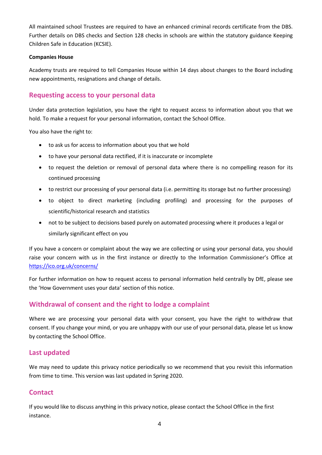All maintained school Trustees are required to have an enhanced criminal records certificate from the DBS. Further details on DBS checks and Section 128 checks in schools are within the statutory guidance Keeping Children Safe in Education (KCSIE).

#### **Companies House**

Academy trusts are required to tell Companies House within 14 days about changes to the Board including new appointments, resignations and change of details.

## **Requesting access to your personal data**

Under data protection legislation, you have the right to request access to information about you that we hold. To make a request for your personal information, contact the School Office.

You also have the right to:

- to ask us for access to information about you that we hold
- to have your personal data rectified, if it is inaccurate or incomplete
- to request the deletion or removal of personal data where there is no compelling reason for its continued processing
- to restrict our processing of your personal data (i.e. permitting its storage but no further processing)
- to object to direct marketing (including profiling) and processing for the purposes of scientific/historical research and statistics
- not to be subject to decisions based purely on automated processing where it produces a legal or similarly significant effect on you

If you have a concern or complaint about the way we are collecting or using your personal data, you should raise your concern with us in the first instance or directly to the Information Commissioner's Office at <https://ico.org.uk/concerns/>

For further information on how to request access to personal information held centrally by DfE, please see the 'How Government uses your data' section of this notice.

## **Withdrawal of consent and the right to lodge a complaint**

Where we are processing your personal data with your consent, you have the right to withdraw that consent. If you change your mind, or you are unhappy with our use of your personal data, please let us know by contacting the School Office.

## **Last updated**

We may need to update this privacy notice periodically so we recommend that you revisit this information from time to time. This version was last updated in Spring 2020.

## **Contact**

If you would like to discuss anything in this privacy notice, please contact the School Office in the first instance.